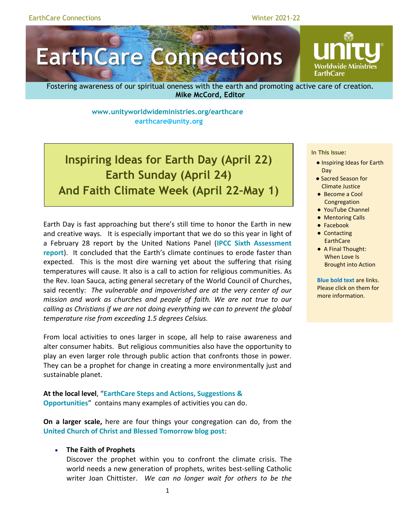# **EarthCare Connections**

Worldwide Ministrie **EarthCare** 

Fostering awareness of our spiritual oneness with the earth and promoting active care of creation. **Mike McCord, Editor**

> **<www.unityworldwideministries.org/earthcare> [earthcare@unity.org](mailto:earthcare@unity.org)**

**Inspiring Ideas for Earth Day (April 22) Earth Sunday (April 24) And Faith Climate Week (April 22–May 1)**

Earth Day is fast approaching but there's still time to honor the Earth in new and creative ways. It is especially important that we do so this year in light of a February 28 report by the United Nations Panel (**[IPCC Sixth Assessment](https://www.ipcc.ch/report/ar6/wg2/)  [report](https://www.ipcc.ch/report/ar6/wg2/)**). It concluded that the Earth's climate continues to erode faster than expected. This is the most dire warning yet about the suffering that rising temperatures will cause. It also is a call to action for religious communities. As the Rev. Ioan Sauca, acting general secretary of the World Council of Churches, said recently: *The vulnerable and impoverished are at the very center of our mission and work as churches and people of faith. We are not true to our calling as Christians if we are not doing everything we can to prevent the global temperature rise from exceeding 1.5 degrees Celsius.*

From local activities to ones larger in scope, all help to raise awareness and alter consumer habits. But religious communities also have the opportunity to play an even larger role through public action that confronts those in power. They can be a prophet for change in creating a more environmentally just and sustainable planet.

**At the local level**, "**EarthCare [Steps and Actions, Suggestions &](https://www.unityworldwideministries.org/sites/unityworldwideministries.org/files/EC%20StepsActionsSuggestions-Opportunities%202022-02-01.pdf)  [Opportunities](https://www.unityworldwideministries.org/sites/unityworldwideministries.org/files/EC%20StepsActionsSuggestions-Opportunities%202022-02-01.pdf)**" contains many examples of activities you can do.

**On a larger scale,** here are four things your congregation can do, from the **[United Church of Christ and Blessed Tomorrow blog post](https://www.ucc.org/dire-climate-report-prompts-call-for-church-action-ucc-offers-ways-to-respond/)**:

#### • **The Faith of Prophets**

Discover the prophet within you to confront the climate crisis. The world needs a new generation of prophets, writes best-selling Catholic writer Joan Chittister. *We can no longer wait for others to be the* 

#### **In This Issue:**

- Inspiring Ideas for Earth Day
- Sacred Season for Climate Justice
- Become a Cool **Congregation**
- YouTube Channel
	- Mentoring Calls
	- Facebook
	- Contacting **EarthCare**
	- A Final Thought: When Love Is Brought into Action

**Blue bold text** are links. Please click on them for more information.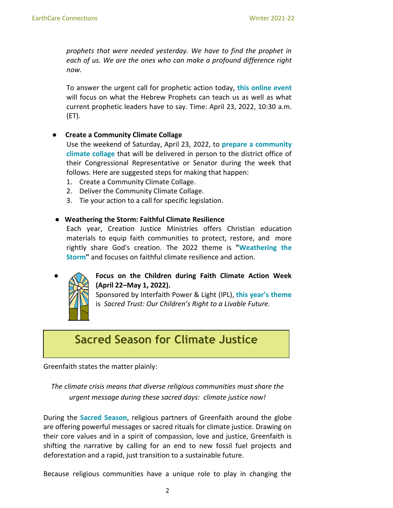*prophets that were needed yesterday. We have to find the prophet in each of us. We are the ones who can make a profound difference right now.*

To answer the urgent call for prophetic action today, **[this online event](https://ucc.zoom.us/webinar/register/WN_te6ia440SGe1g-lnofYcoA)** will focus on what the Hebrew Prophets can teach us as well as what current prophetic leaders have to say. Time: April 23, 2022, 10:30 a.m. (ET).

## ● **Create a Community Climate Collage**

Use the weekend of Saturday, April 23, 2022, to **[prepare a community](https://www.ucc.org/taking-prophetic-action-for-the-earth/) [climate collage](https://www.ucc.org/taking-prophetic-action-for-the-earth/)** that will be delivered in person to the district office of their Congressional Representative or Senator during the week that follows. Here are suggested steps for making that happen:

- 1. Create a Community Climate Collage.
- 2. Deliver the Community Climate Collage.
- 3. Tie your action to a call for specific legislation.

## ● **Weathering the Storm: Faithful Climate Resilience**

Each year, Creation Justice Ministries offers Christian education materials to equip faith communities to protect, restore, and more rightly share God's creation. The 2022 theme is **["Weathering the](https://creationjustice.salsalabs.org/weatheringthestorm/index.html)  [Storm"](https://creationjustice.salsalabs.org/weatheringthestorm/index.html)** and focuses on faithful climate resilience and action.



## ● **Focus on the Children during Faith Climate Action Week (April 22–May 1, 2022).**

Sponsored by Interfaith Power & Light (IPL), **[this year's theme](https://www.interfaithpowerandlight.org/)** is *Sacred Trust: Our Children's Right to a Livable Future.*

## **Sacred Season for Climate Justice**

Greenfaith states the matter plainly:

*The climate crisis means that diverse religious communities must share the urgent message during these sacred days: climate justice now!*

During the **[Sacred Season](https://greenfaith.org/sacred-season)**, religious partners of Greenfaith around the globe are offering powerful messages or sacred rituals for climate justice. Drawing on their core values and in a spirit of compassion, love and justice, Greenfaith is shifting the narrative by calling for an end to new fossil fuel projects and deforestation and a rapid, just transition to a sustainable future.

Because religious communities have a unique role to play in changing the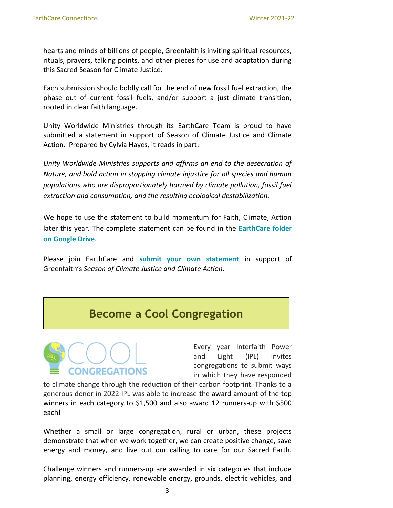hearts and minds of billions of people, Greenfaith is inviting spiritual resources, rituals, prayers, talking points, and other pieces for use and adaptation during this Sacred Season for Climate Justice.

Each submission should boldly call for the end of new fossil fuel extraction, the phase out of current fossil fuels, and/or support a just climate transition, rooted in clear faith language.

Unity Worldwide Ministries through its EarthCare Team is proud to have submitted a statement in support of Season of Climate Justice and Climate Action. Prepared by Cylvia Hayes, it reads in part:

*Unity Worldwide Ministries supports and affirms an end to the desecration of Nature, and bold action in stopping climate injustice for all species and human populations who are disproportionately harmed by climate pollution, fossil fuel extraction and consumption, and the resulting ecological destabilization.* 

We hope to use the statement to build momentum for Faith, Climate, Action later this year. The complete statement can be found in the **[EarthCare folder](https://docs.google.com/document/d/1Q057PtiUOepJLO0Ch_0w33AN50LAzjca/edit?usp=sharing&ouid=109305717646028520568&rtpof=true&sd=true)  [on Google Drive](https://docs.google.com/document/d/1Q057PtiUOepJLO0Ch_0w33AN50LAzjca/edit?usp=sharing&ouid=109305717646028520568&rtpof=true&sd=true)**.

Please join EarthCare and **[submit your own statement](https://docs.google.com/forms/d/e/1FAIpQLSfp_Nml_uc9L5MZgs9NKHMi4Xfc2RZIw4GvaigiZEplZb14ew/viewform)** in support of Greenfaith's *Season of Climate Justice and Climate Action.*

## **Become a Cool Congregation**



Every year Interfaith Power and Light (IPL) invites congregations to submit ways in which they have responded

to climate change through the reduction of their carbon footprint. Thanks to a generous donor in 2022 IPL was able to increase the award amount of the top winners in each category to \$1,500 and also award 12 runners-up with \$500 each!

Whether a small or large congregation, rural or urban, these projects demonstrate that when we work together, we can create positive change, save energy and money, and live out our calling to care for our Sacred Earth.

Challenge winners and runners-up are awarded in six categories that include planning, energy efficiency, renewable energy, grounds, electric vehicles, and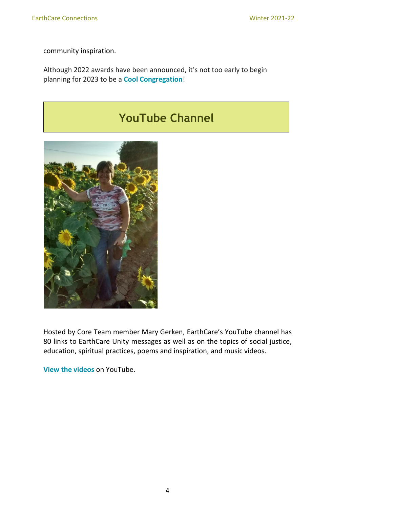community inspiration.

Although 2022 awards have been announced, it's not too early to begin planning for 2023 to be a **[Cool Congregation](https://www.coolcongregations.org/)**!

# **YouTube Channel**



Hosted by Core Team member Mary Gerken, EarthCare's YouTube channel has 80 links to EarthCare Unity messages as well as on the topics of social justice, education, spiritual practices, poems and inspiration, and music videos.

**[View the videos](http://www.youtube.com/channel/UC4iYARFqsqLhuodoDC52R5Q/playlists)** on YouTube.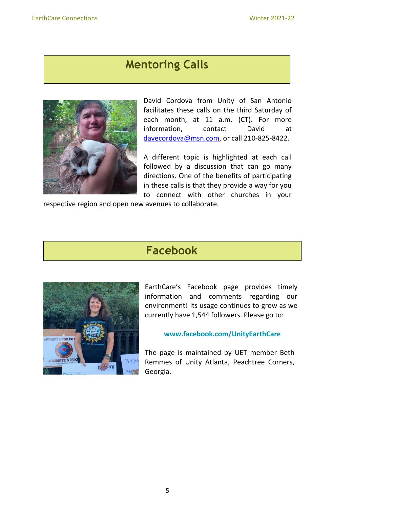## **Mentoring Calls**



David Cordova from Unity of San Antonio facilitates these calls on the third Saturday of each month, at 11 a.m. (CT). For more information, contact David at davecordova@msn.com, or call 210-825-8422.

A different topic is highlighted at each call followed by a discussion that can go many directions. One of the benefits of participating in these calls is that they provide a way for you to connect with other churches in your

respective region and open new avenues to collaborate.

# **Facebook**



EarthCare's [Facebook page](about:blank) provides timely information and comments regarding our environment! Its usage continues to grow as we currently have 1,544 followers. Please go to:

#### **[www.facebook.com/UnityEarthCare](about:blank)**

The page is maintained by UET member Beth Remmes of Unity Atlanta, Peachtree Corners, Georgia.